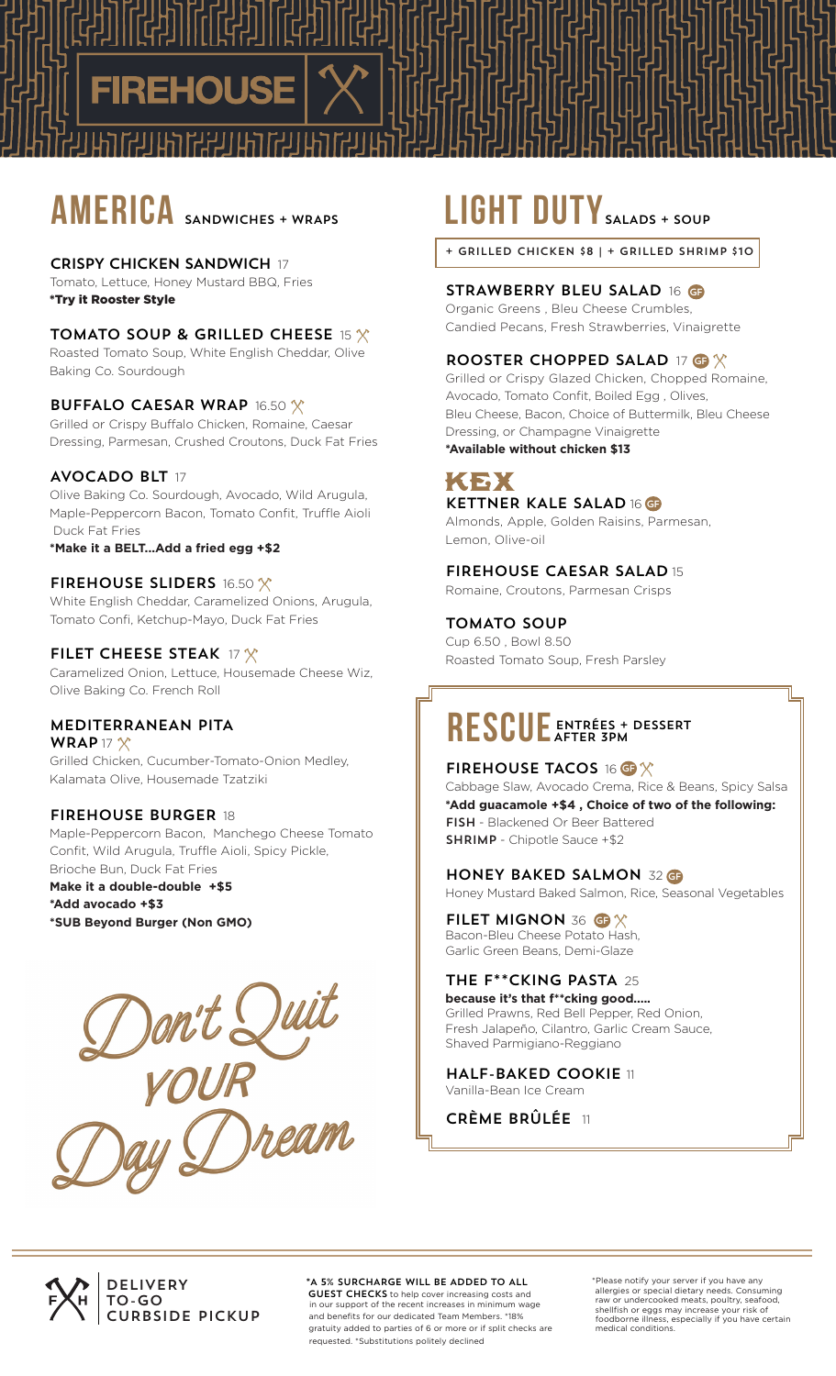# **AMERICA** SANDWICHES + WRAPS

#### CRISPY CHICKEN SANDWICH 17

Tomato, Lettuce, Honey Mustard BBQ, Fries \*Try it Rooster Style

#### TOMATO SOUP & GRILLED CHEESE 15  $\chi$

Roasted Tomato Soup, White English Cheddar, Olive Baking Co. Sourdough

#### **BUFFALO CAESAR WRAP 16.50 X**

Grilled or Crispy Buffalo Chicken, Romaine, Caesar Dressing, Parmesan, Crushed Croutons, Duck Fat Fries

#### AVOCADO BLT 17

Olive Baking Co. Sourdough, Avocado, Wild Arugula, Maple-Peppercorn Bacon, Tomato Confit, Truffle Aioli Duck Fat Fries

**\*Make it a BELT...Add a fried egg +\$2**

#### FIREHOUSE SLIDERS 16.50 X

White English Cheddar, Caramelized Onions, Arugula, Tomato Confi, Ketchup-Mayo, Duck Fat Fries

#### FILET CHEESE STEAK 17 $\chi$

Caramelized Onion, Lettuce, Housemade Cheese Wiz, Olive Baking Co. French Roll

### MEDITERRANEAN PITA

WRAP 17 $\chi$ Grilled Chicken, Cucumber-Tomato-Onion Medley, Kalamata Olive, Housemade Tzatziki

### FIREHOUSE BURGER 18

Maple-Peppercorn Bacon, Manchego Cheese Tomato Confit, Wild Arugula, Truffle Aioli, Spicy Pickle, Brioche Bun, Duck Fat Fries

**Make it a double-double +\$5 \*Add avocado +\$3 \*SUB Beyond Burger (Non GMO)**



# **LIGHT DUTY** SALADS + SOUP

+ GRILLED CHICKEN \$8 | + GRILLED SHRIMP \$10

#### STRAWBERRY BLEU SALAD 16 GF

Organic Greens , Bleu Cheese Crumbles, Candied Pecans, Fresh Strawberries, Vinaigrette

#### ROOSTER CHOPPED SALAD 17 GF

Grilled or Crispy Glazed Chicken, Chopped Romaine, Avocado, Tomato Confit, Boiled Egg , Olives, Bleu Cheese, Bacon, Choice of Buttermilk, Bleu Cheese Dressing, or Champagne Vinaigrette

**\*Available without chicken \$13**

### КЕХ KETTNER KALE SALAD 16 GF

Almonds, Apple, Golden Raisins, Parmesan, Lemon, Olive-oil

#### FIREHOUSE CAESAR SALAD 15

Romaine, Croutons, Parmesan Crisps

#### TOMATO SOUP

Cup 6.50 , Bowl 8.50 Roasted Tomato Soup, Fresh Parsley

#### RESCUE ENTRÉES + ENTRÉES + DESSERT

### FIREHOUSE TACOS 16 GF

Cabbage Slaw, Avocado Crema, Rice & Beans, Spicy Salsa **\*Add guacamole +\$4 , Choice of two of the following:** FISH - Blackened Or Beer Battered SHRIMP - Chipotle Sauce +\$2

#### HONEY BAKED SALMON 32 GF

Honey Mustard Baked Salmon, Rice, Seasonal Vegetables

### FILET MIGNON 36 GF

Bacon-Bleu Cheese Potato Hash, Garlic Green Beans, Demi-Glaze

## THE F\*\*CKING PASTA 25

**because it's that f\*\*cking good.....** Grilled Prawns, Red Bell Pepper, Red Onion, Fresh Jalapeño, Cilantro, Garlic Cream Sauce, Shaved Parmigiano-Reggiano

HALF-BAKED COOKIE 11 Vanilla-Bean Ice Cream

CRÈME BRÛLÉE 11



#### \*A 5% SURCHARGE WILL BE ADDED TO ALL

**GUEST CHECKS** to help cover increasing costs and in our support of the recent increases in minimum wage and benefits for our dedicated Team Members. \*18% gratuity added to parties of 6 or more or if split checks are requested. \*Substitutions politely declined

\*Please notify your server if you have any allergies or special dietary needs. Consuming raw or undercooked meats, poultry, seafood, shellfish or eggs may increase your risk of foodborne illness, especially if you have certain medical conditions.